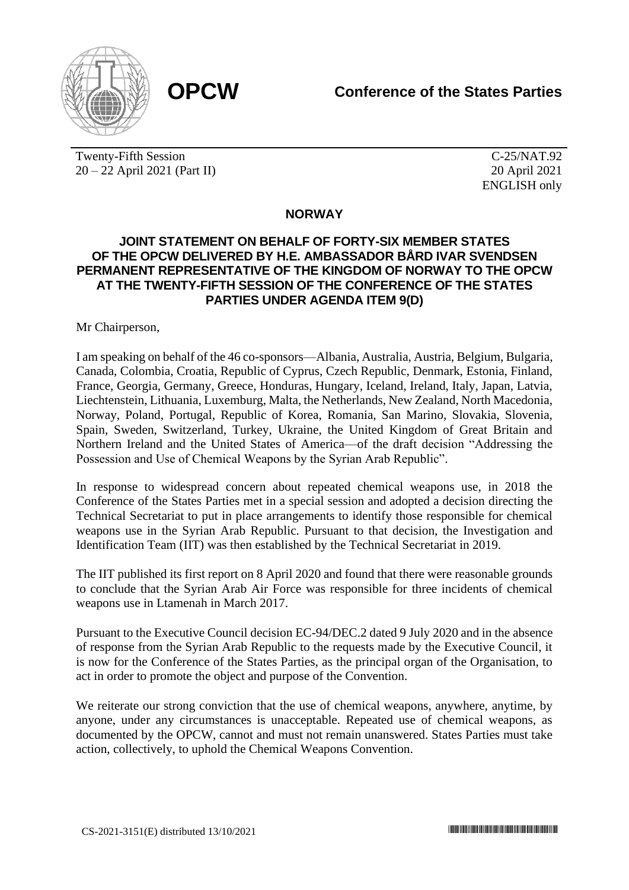

Twenty-Fifth Session 20 – 22 April 2021 (Part II)

C-25/NAT.92 20 April 2021 ENGLISH only

## **NORWAY**

## **JOINT STATEMENT ON BEHALF OF FORTY-SIX MEMBER STATES OF THE OPCW DELIVERED BY H.E. AMBASSADOR BÅRD IVAR SVENDSEN PERMANENT REPRESENTATIVE OF THE KINGDOM OF NORWAY TO THE OPCW AT THE TWENTY-FIFTH SESSION OF THE CONFERENCE OF THE STATES PARTIES UNDER AGENDA ITEM 9(D)**

Mr Chairperson,

I am speaking on behalf of the 46 co-sponsors—Albania, Australia, Austria, Belgium, Bulgaria, Canada, Colombia, Croatia, Republic of Cyprus, Czech Republic, Denmark, Estonia, Finland, France, Georgia, Germany, Greece, Honduras, Hungary, Iceland, Ireland, Italy, Japan, Latvia, Liechtenstein, Lithuania, Luxemburg, Malta, the Netherlands, New Zealand, North Macedonia, Norway, Poland, Portugal, Republic of Korea, Romania, San Marino, Slovakia, Slovenia, Spain, Sweden, Switzerland, Turkey, Ukraine, the United Kingdom of Great Britain and Northern Ireland and the United States of America—of the draft decision "Addressing the Possession and Use of Chemical Weapons by the Syrian Arab Republic".

In response to widespread concern about repeated chemical weapons use, in 2018 the Conference of the States Parties met in a special session and adopted a decision directing the Technical Secretariat to put in place arrangements to identify those responsible for chemical weapons use in the Syrian Arab Republic. Pursuant to that decision, the Investigation and Identification Team (IIT) was then established by the Technical Secretariat in 2019.

The IIT published its first report on 8 April 2020 and found that there were reasonable grounds to conclude that the Syrian Arab Air Force was responsible for three incidents of chemical weapons use in Ltamenah in March 2017.

Pursuant to the Executive Council decision EC-94/DEC.2 dated 9 July 2020 and in the absence of response from the Syrian Arab Republic to the requests made by the Executive Council, it is now for the Conference of the States Parties, as the principal organ of the Organisation, to act in order to promote the object and purpose of the Convention.

We reiterate our strong conviction that the use of chemical weapons, anywhere, anytime, by anyone, under any circumstances is unacceptable. Repeated use of chemical weapons, as documented by the OPCW, cannot and must not remain unanswered. States Parties must take action, collectively, to uphold the Chemical Weapons Convention.